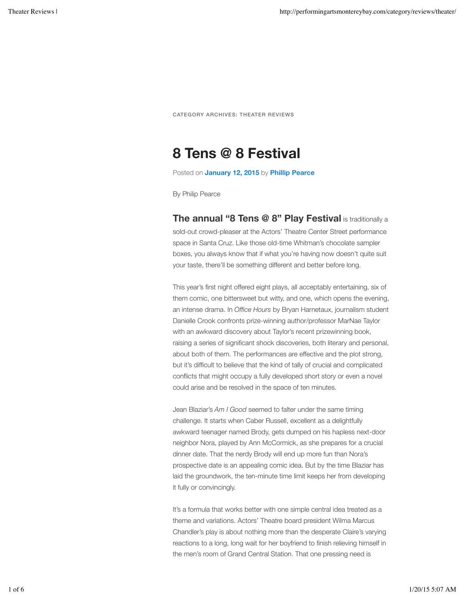## **8 Tens @ 8 Festival**

Posted on **January 12, 2015** by **Phillip Pearce**

By Philip Pearce

**The annual "8 Tens @ 8" Play Festival** is traditionally a sold-out crowd-pleaser at the Actors' Theatre Center Street performance space in Santa Cruz. Like those old-time Whitman's chocolate sampler boxes, you always know that if what you're having now doesn't quite suit your taste, there'll be something different and better before long.

This year's first night offered eight plays, all acceptably entertaining, six of them comic, one bittersweet but witty, and one, which opens the evening, an intense drama. In *Office Hours* by Bryan Harnetaux, journalism student Danielle Crook confronts prize-winning author/professor MarNae Taylor with an awkward discovery about Taylor's recent prizewinning book, raising a series of significant shock discoveries, both literary and personal, about both of them. The performances are effective and the plot strong, but it's difficult to believe that the kind of tally of crucial and complicated conflicts that might occupy a fully developed short story or even a novel could arise and be resolved in the space of ten minutes.

Jean Blaziar's *Am I Good* seemed to falter under the same timing challenge. It starts when Caber Russell, excellent as a delightfully awkward teenager named Brody, gets dumped on his hapless next-door neighbor Nora, played by Ann McCormick, as she prepares for a crucial dinner date. That the nerdy Brody will end up more fun than Nora's prospective date is an appealing comic idea. But by the time Blaziar has laid the groundwork, the ten-minute time limit keeps her from developing it fully or convincingly.

It's a formula that works better with one simple central idea treated as a theme and variations. Actors' Theatre board president Wilma Marcus Chandler's play is about nothing more than the desperate Claire's varying reactions to a long, long wait for her boyfriend to finish relieving himself in the men's room of Grand Central Station. That one pressing need is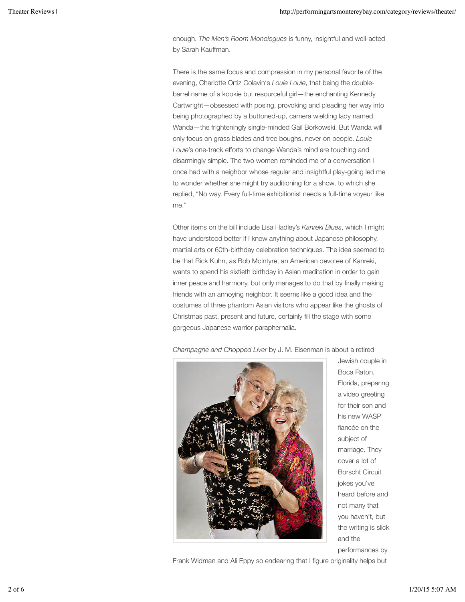enough. *The Men's Room Monologues* is funny, insightful and well-acted by Sarah Kauffman.

There is the same focus and compression in my personal favorite of the evening, Charlotte Ortiz Colavin's *Louie Louie*, that being the doublebarrel name of a kookie but resourceful girl—the enchanting Kennedy Cartwright—obsessed with posing, provoking and pleading her way into being photographed by a buttoned-up, camera wielding lady named Wanda—the frighteningly single-minded Gail Borkowski. But Wanda will only focus on grass blades and tree boughs, never on people. *Louie Louie*'s one-track efforts to change Wanda's mind are touching and disarmingly simple. The two women reminded me of a conversation I once had with a neighbor whose regular and insightful play-going led me to wonder whether she might try auditioning for a show, to which she replied, "No way. Every full-time exhibitionist needs a full-time voyeur like me."

Other items on the bill include Lisa Hadley's *Kanreki Blues*, which I might have understood better if I knew anything about Japanese philosophy, martial arts or 60th-birthday celebration techniques. The idea seemed to be that Rick Kuhn, as Bob McIntyre, an American devotee of Kanreki, wants to spend his sixtieth birthday in Asian meditation in order to gain inner peace and harmony, but only manages to do that by finally making friends with an annoying neighbor. It seems like a good idea and the costumes of three phantom Asian visitors who appear like the ghosts of Christmas past, present and future, certainly fill the stage with some gorgeous Japanese warrior paraphernalia.



*Champagne and Chopped Liver* by J. M. Eisenman is about a retired

Jewish couple in Boca Raton, Florida, preparing a video greeting for their son and his new WASP fiancée on the subject of marriage. They cover a lot of Borscht Circuit jokes you've heard before and not many that you haven't, but the writing is slick and the performances by

Frank Widman and Ali Eppy so endearing that I figure originality helps but